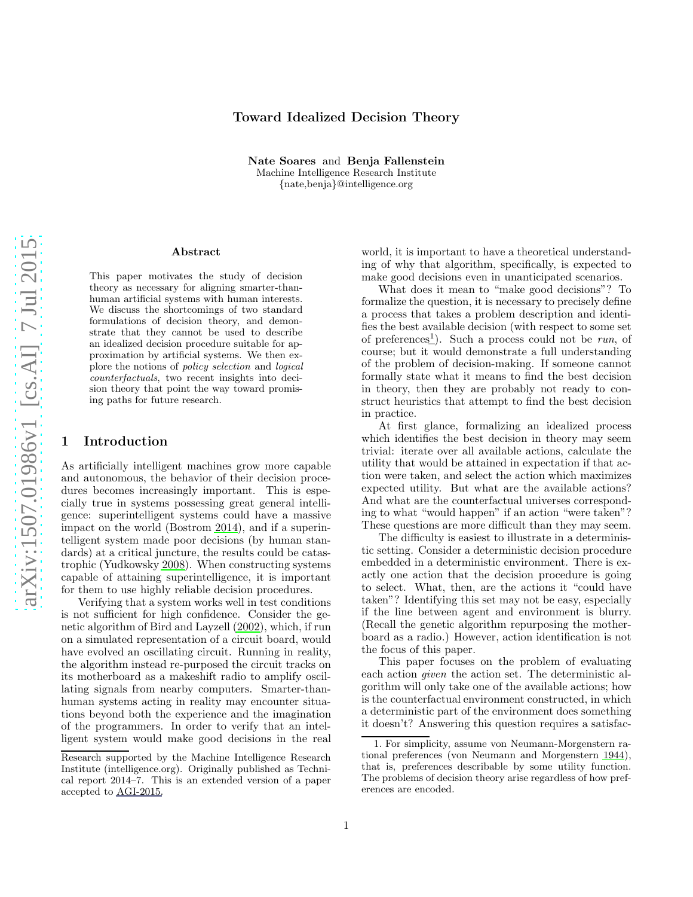# Toward Idealized Decision Theory

Nate Soares and Benja Fallenstein Machine Intelligence Research Institute {nate,benja}@intelligence.org

#### Abstract

This paper motivates the study of decision theory as necessary for aligning smarter-thanhuman artificial systems with human interests. We discuss the shortcomings of two standard formulations of decision theory, and demonstrate that they cannot be used to describe an idealized decision procedure suitable for approximation by artificial systems. We then explore the notions of policy selection and logical counterfactuals, two recent insights into decision theory that point the way toward promising paths for future research.

# 1 Introduction

As artificially intelligent machines grow more capable and autonomous, the behavior of their decision procedures becomes increasingly important. This is especially true in systems possessing great general intelligence: superintelligent systems could have a massive impact on the world (Bostrom [2014](#page-12-0)), and if a superintelligent system made poor decisions (by human standards) at a critical juncture, the results could be catastrophic (Yudkowsky [2008](#page-14-0)). When constructing systems capable of attaining superintelligence, it is important for them to use highly reliable decision procedures.

Verifying that a system works well in test conditions is not sufficient for high confidence. Consider the genetic algorithm of Bird and Layzell [\(2002\)](#page-12-1), which, if run on a simulated representation of a circuit board, would have evolved an oscillating circuit. Running in reality, the algorithm instead re-purposed the circuit tracks on its motherboard as a makeshift radio to amplify oscillating signals from nearby computers. Smarter-thanhuman systems acting in reality may encounter situations beyond both the experience and the imagination of the programmers. In order to verify that an intelligent system would make good decisions in the real world, it is important to have a theoretical understanding of why that algorithm, specifically, is expected to make good decisions even in unanticipated scenarios.

What does it mean to "make good decisions"? To formalize the question, it is necessary to precisely define a process that takes a problem description and identifies the best available decision (with respect to some set of preferences<sup>[1](#page-0-0)</sup>). Such a process could not be *run*, of course; but it would demonstrate a full understanding of the problem of decision-making. If someone cannot formally state what it means to find the best decision in theory, then they are probably not ready to construct heuristics that attempt to find the best decision in practice.

At first glance, formalizing an idealized process which identifies the best decision in theory may seem trivial: iterate over all available actions, calculate the utility that would be attained in expectation if that action were taken, and select the action which maximizes expected utility. But what are the available actions? And what are the counterfactual universes corresponding to what "would happen" if an action "were taken"? These questions are more difficult than they may seem.

The difficulty is easiest to illustrate in a deterministic setting. Consider a deterministic decision procedure embedded in a deterministic environment. There is exactly one action that the decision procedure is going to select. What, then, are the actions it "could have taken"? Identifying this set may not be easy, especially if the line between agent and environment is blurry. (Recall the genetic algorithm repurposing the motherboard as a radio.) However, action identification is not the focus of this paper.

This paper focuses on the problem of evaluating each action given the action set. The deterministic algorithm will only take one of the available actions; how is the counterfactual environment constructed, in which a deterministic part of the environment does something it doesn't? Answering this question requires a satisfac-

Research supported by the Machine Intelligence Research Institute (intelligence.org). Originally published as Technical report 2014–7. This is an extended version of a paper accepted to [AGI-2015.](http://agi-conf.org/2015/)

<span id="page-0-0"></span><sup>1.</sup> For simplicity, assume von Neumann-Morgenstern rational preferences (von Neumann and Morgenstern [1944\)](#page-14-1), that is, preferences describable by some utility function. The problems of decision theory arise regardless of how preferences are encoded.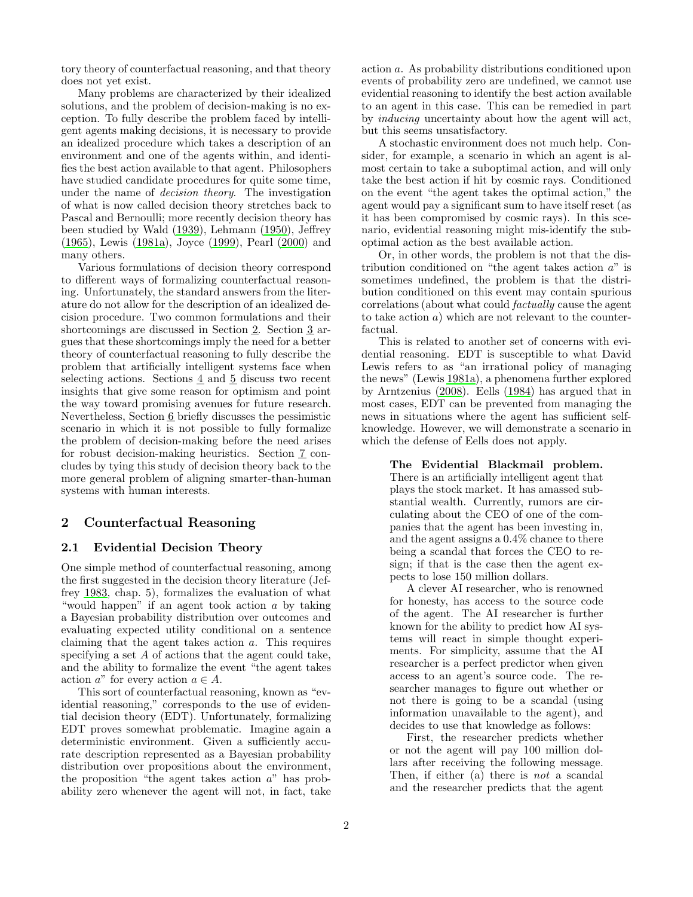tory theory of counterfactual reasoning, and that theory does not yet exist.

Many problems are characterized by their idealized solutions, and the problem of decision-making is no exception. To fully describe the problem faced by intelligent agents making decisions, it is necessary to provide an idealized procedure which takes a description of an environment and one of the agents within, and identifies the best action available to that agent. Philosophers have studied candidate procedures for quite some time, under the name of decision theory. The investigation of what is now called decision theory stretches back to Pascal and Bernoulli; more recently decision theory has been studied by Wald [\(1939](#page-14-2)), Lehmann [\(1950\)](#page-13-0), Jeffrey [\(1965\)](#page-13-1), Lewis [\(1981a\)](#page-13-2), Joyce [\(1999\)](#page-13-3), Pearl [\(2000\)](#page-13-4) and many others.

Various formulations of decision theory correspond to different ways of formalizing counterfactual reasoning. Unfortunately, the standard answers from the literature do not allow for the description of an idealized decision procedure. Two common formulations and their shortcomings are discussed in Section [2.](#page-1-0) Section [3](#page-4-0) argues that these shortcomings imply the need for a better theory of counterfactual reasoning to fully describe the problem that artificially intelligent systems face when selecting actions. Sections [4](#page-6-0) and [5](#page-8-0) discuss two recent insights that give some reason for optimism and point the way toward promising avenues for future research. Nevertheless, Section [6](#page-11-0) briefly discusses the pessimistic scenario in which it is not possible to fully formalize the problem of decision-making before the need arises for robust decision-making heuristics. Section [7](#page-12-2) concludes by tying this study of decision theory back to the more general problem of aligning smarter-than-human systems with human interests.

# <span id="page-1-0"></span>2 Counterfactual Reasoning

# <span id="page-1-1"></span>2.1 Evidential Decision Theory

One simple method of counterfactual reasoning, among the first suggested in the decision theory literature (Jeffrey [1983,](#page-13-5) chap. 5), formalizes the evaluation of what "would happen" if an agent took action a by taking a Bayesian probability distribution over outcomes and evaluating expected utility conditional on a sentence claiming that the agent takes action a. This requires specifying a set A of actions that the agent could take, and the ability to formalize the event "the agent takes action  $a^{\prime\prime}$  for every action  $a \in A$ .

This sort of counterfactual reasoning, known as "evidential reasoning," corresponds to the use of evidential decision theory (EDT). Unfortunately, formalizing EDT proves somewhat problematic. Imagine again a deterministic environment. Given a sufficiently accurate description represented as a Bayesian probability distribution over propositions about the environment, the proposition "the agent takes action  $a$ " has probability zero whenever the agent will not, in fact, take

action a. As probability distributions conditioned upon events of probability zero are undefined, we cannot use evidential reasoning to identify the best action available to an agent in this case. This can be remedied in part by inducing uncertainty about how the agent will act, but this seems unsatisfactory.

A stochastic environment does not much help. Consider, for example, a scenario in which an agent is almost certain to take a suboptimal action, and will only take the best action if hit by cosmic rays. Conditioned on the event "the agent takes the optimal action," the agent would pay a significant sum to have itself reset (as it has been compromised by cosmic rays). In this scenario, evidential reasoning might mis-identify the suboptimal action as the best available action.

Or, in other words, the problem is not that the distribution conditioned on "the agent takes action  $a$ " is sometimes undefined, the problem is that the distribution conditioned on this event may contain spurious correlations (about what could factually cause the agent to take action a) which are not relevant to the counterfactual.

This is related to another set of concerns with evidential reasoning. EDT is susceptible to what David Lewis refers to as "an irrational policy of managing the news" (Lewis [1981a](#page-13-2)), a phenomena further explored by Arntzenius [\(2008\)](#page-12-3). Eells [\(1984\)](#page-12-4) has argued that in most cases, EDT can be prevented from managing the news in situations where the agent has sufficient selfknowledge. However, we will demonstrate a scenario in which the defense of Eells does not apply.

The Evidential Blackmail problem. There is an artificially intelligent agent that plays the stock market. It has amassed substantial wealth. Currently, rumors are circulating about the CEO of one of the companies that the agent has been investing in, and the agent assigns a 0.4% chance to there being a scandal that forces the CEO to resign; if that is the case then the agent expects to lose 150 million dollars.

A clever AI researcher, who is renowned for honesty, has access to the source code of the agent. The AI researcher is further known for the ability to predict how AI systems will react in simple thought experiments. For simplicity, assume that the AI researcher is a perfect predictor when given access to an agent's source code. The researcher manages to figure out whether or not there is going to be a scandal (using information unavailable to the agent), and decides to use that knowledge as follows:

First, the researcher predicts whether or not the agent will pay 100 million dollars after receiving the following message. Then, if either (a) there is not a scandal and the researcher predicts that the agent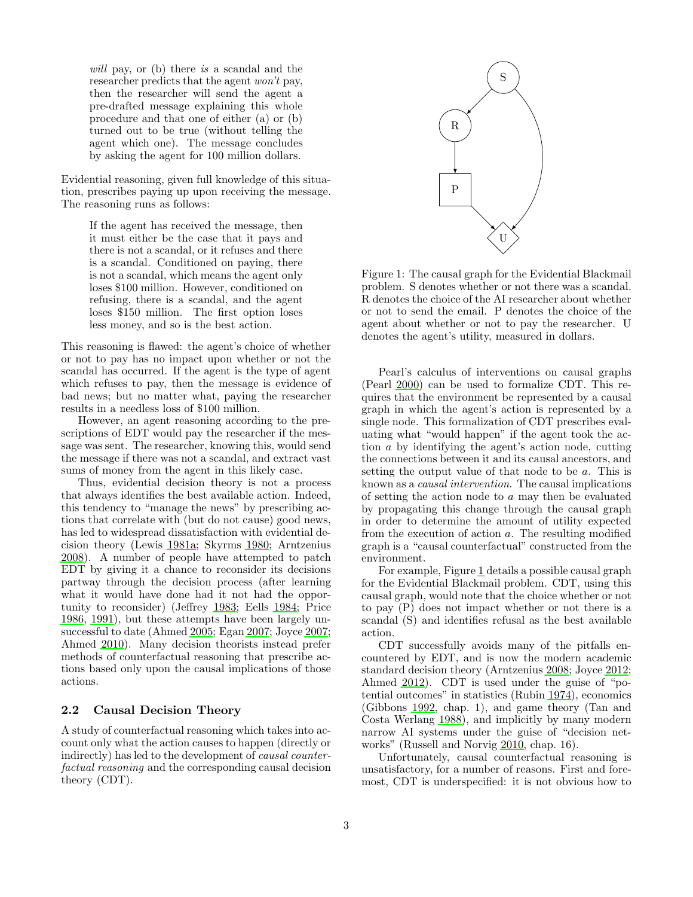will pay, or (b) there is a scandal and the researcher predicts that the agent won't pay, then the researcher will send the agent a pre-drafted message explaining this whole procedure and that one of either (a) or (b) turned out to be true (without telling the agent which one). The message concludes by asking the agent for 100 million dollars.

Evidential reasoning, given full knowledge of this situation, prescribes paying up upon receiving the message. The reasoning runs as follows:

> If the agent has received the message, then it must either be the case that it pays and there is not a scandal, or it refuses and there is a scandal. Conditioned on paying, there is not a scandal, which means the agent only loses \$100 million. However, conditioned on refusing, there is a scandal, and the agent loses \$150 million. The first option loses less money, and so is the best action.

This reasoning is flawed: the agent's choice of whether or not to pay has no impact upon whether or not the scandal has occurred. If the agent is the type of agent which refuses to pay, then the message is evidence of bad news; but no matter what, paying the researcher results in a needless loss of \$100 million.

However, an agent reasoning according to the prescriptions of EDT would pay the researcher if the message was sent. The researcher, knowing this, would send the message if there was not a scandal, and extract vast sums of money from the agent in this likely case.

Thus, evidential decision theory is not a process that always identifies the best available action. Indeed, this tendency to "manage the news" by prescribing actions that correlate with (but do not cause) good news, has led to widespread dissatisfaction with evidential decision theory (Lewis [1981a](#page-13-2); Skyrms [1980;](#page-13-6) Arntzenius [2008\)](#page-12-3). A number of people have attempted to patch EDT by giving it a chance to reconsider its decisions partway through the decision process (after learning what it would have done had it not had the opportunity to reconsider) (Jeffrey [1983;](#page-13-5) Eells [1984](#page-12-4); Price [1986,](#page-13-7) [1991\)](#page-13-8), but these attempts have been largely unsuccessful to date (Ahmed [2005](#page-12-5); Egan [2007](#page-13-9); Joyce [2007;](#page-13-10) Ahmed [2010\)](#page-12-6). Many decision theorists instead prefer methods of counterfactual reasoning that prescribe actions based only upon the causal implications of those actions.

#### <span id="page-2-1"></span>2.2 Causal Decision Theory

A study of counterfactual reasoning which takes into account only what the action causes to happen (directly or indirectly) has led to the development of causal counterfactual reasoning and the corresponding causal decision theory (CDT).



<span id="page-2-0"></span>Figure 1: The causal graph for the Evidential Blackmail problem. S denotes whether or not there was a scandal. R denotes the choice of the AI researcher about whether or not to send the email. P denotes the choice of the agent about whether or not to pay the researcher. U denotes the agent's utility, measured in dollars.

Pearl's calculus of interventions on causal graphs (Pearl [2000](#page-13-4)) can be used to formalize CDT. This requires that the environment be represented by a causal graph in which the agent's action is represented by a single node. This formalization of CDT prescribes evaluating what "would happen" if the agent took the action a by identifying the agent's action node, cutting the connections between it and its causal ancestors, and setting the output value of that node to be a. This is known as a causal intervention. The causal implications of setting the action node to a may then be evaluated by propagating this change through the causal graph in order to determine the amount of utility expected from the execution of action a. The resulting modified graph is a "causal counterfactual" constructed from the environment.

For example, Figure [1](#page-2-0) details a possible causal graph for the Evidential Blackmail problem. CDT, using this causal graph, would note that the choice whether or not to pay (P) does not impact whether or not there is a scandal (S) and identifies refusal as the best available action.

CDT successfully avoids many of the pitfalls encountered by EDT, and is now the modern academic standard decision theory (Arntzenius [2008;](#page-12-3) Joyce [2012](#page-13-11); Ahmed [2012](#page-12-7)). CDT is used under the guise of "potential outcomes" in statistics (Rubin [1974\)](#page-13-12), economics (Gibbons [1992](#page-13-13), chap. 1), and game theory (Tan and Costa Werlang [1988\)](#page-14-3), and implicitly by many modern narrow AI systems under the guise of "decision networks" (Russell and Norvig [2010,](#page-13-14) chap. 16).

Unfortunately, causal counterfactual reasoning is unsatisfactory, for a number of reasons. First and foremost, CDT is underspecified: it is not obvious how to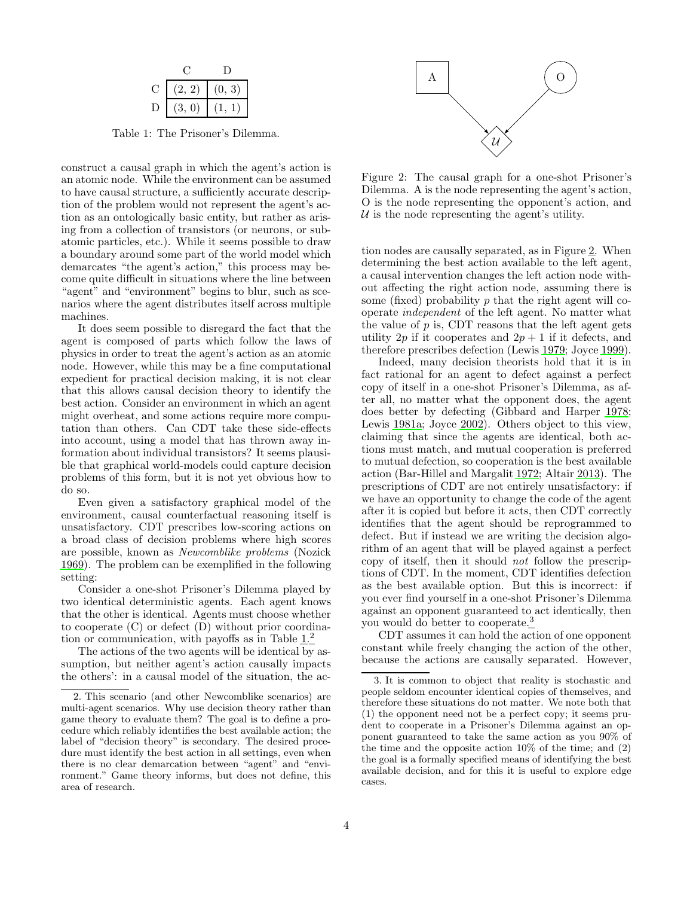| (2, 2)                        | (0, 3) |
|-------------------------------|--------|
| (3.<br>$\left 0\right\rangle$ |        |

<span id="page-3-0"></span>Table 1: The Prisoner's Dilemma.

construct a causal graph in which the agent's action is an atomic node. While the environment can be assumed to have causal structure, a sufficiently accurate description of the problem would not represent the agent's action as an ontologically basic entity, but rather as arising from a collection of transistors (or neurons, or subatomic particles, etc.). While it seems possible to draw a boundary around some part of the world model which demarcates "the agent's action," this process may become quite difficult in situations where the line between "agent" and "environment" begins to blur, such as scenarios where the agent distributes itself across multiple machines.

It does seem possible to disregard the fact that the agent is composed of parts which follow the laws of physics in order to treat the agent's action as an atomic node. However, while this may be a fine computational expedient for practical decision making, it is not clear that this allows causal decision theory to identify the best action. Consider an environment in which an agent might overheat, and some actions require more computation than others. Can CDT take these side-effects into account, using a model that has thrown away information about individual transistors? It seems plausible that graphical world-models could capture decision problems of this form, but it is not yet obvious how to do so.

Even given a satisfactory graphical model of the environment, causal counterfactual reasoning itself is unsatisfactory. CDT prescribes low-scoring actions on a broad class of decision problems where high scores are possible, known as Newcomblike problems (Nozick [1969\)](#page-13-15). The problem can be exemplified in the following setting:

Consider a one-shot Prisoner's Dilemma played by two identical deterministic agents. Each agent knows that the other is identical. Agents must choose whether to cooperate (C) or defect (D) without prior coordination or communication, with payoffs as in Table [1.](#page-3-0)[2](#page-3-1)

The actions of the two agents will be identical by assumption, but neither agent's action causally impacts the others': in a causal model of the situation, the ac-



<span id="page-3-2"></span>Figure 2: The causal graph for a one-shot Prisoner's Dilemma. A is the node representing the agent's action, O is the node representing the opponent's action, and  $U$  is the node representing the agent's utility.

tion nodes are causally separated, as in Figure [2.](#page-3-2) When determining the best action available to the left agent, a causal intervention changes the left action node without affecting the right action node, assuming there is some (fixed) probability  $p$  that the right agent will cooperate independent of the left agent. No matter what the value of  $p$  is, CDT reasons that the left agent gets utility 2p if it cooperates and  $2p + 1$  if it defects, and therefore prescribes defection (Lewis [1979](#page-13-16); Joyce [1999\)](#page-13-3).

Indeed, many decision theorists hold that it is in fact rational for an agent to defect against a perfect copy of itself in a one-shot Prisoner's Dilemma, as after all, no matter what the opponent does, the agent does better by defecting (Gibbard and Harper [1978](#page-13-17); Lewis [1981a;](#page-13-2) Joyce [2002](#page-13-18)). Others object to this view, claiming that since the agents are identical, both actions must match, and mutual cooperation is preferred to mutual defection, so cooperation is the best available action (Bar-Hillel and Margalit [1972](#page-12-8); Altair [2013](#page-12-9)). The prescriptions of CDT are not entirely unsatisfactory: if we have an opportunity to change the code of the agent after it is copied but before it acts, then CDT correctly identifies that the agent should be reprogrammed to defect. But if instead we are writing the decision algorithm of an agent that will be played against a perfect copy of itself, then it should not follow the prescriptions of CDT. In the moment, CDT identifies defection as the best available option. But this is incorrect: if you ever find yourself in a one-shot Prisoner's Dilemma against an opponent guaranteed to act identically, then you would do better to cooperate.[3](#page-3-3)

CDT assumes it can hold the action of one opponent constant while freely changing the action of the other, because the actions are causally separated. However,

<span id="page-3-1"></span><sup>2.</sup> This scenario (and other Newcomblike scenarios) are multi-agent scenarios. Why use decision theory rather than game theory to evaluate them? The goal is to define a procedure which reliably identifies the best available action; the label of "decision theory" is secondary. The desired procedure must identify the best action in all settings, even when there is no clear demarcation between "agent" and "environment." Game theory informs, but does not define, this area of research.

<span id="page-3-3"></span><sup>3.</sup> It is common to object that reality is stochastic and people seldom encounter identical copies of themselves, and therefore these situations do not matter. We note both that (1) the opponent need not be a perfect copy; it seems prudent to cooperate in a Prisoner's Dilemma against an opponent guaranteed to take the same action as you 90% of the time and the opposite action  $10\%$  of the time; and  $(2)$ the goal is a formally specified means of identifying the best available decision, and for this it is useful to explore edge cases.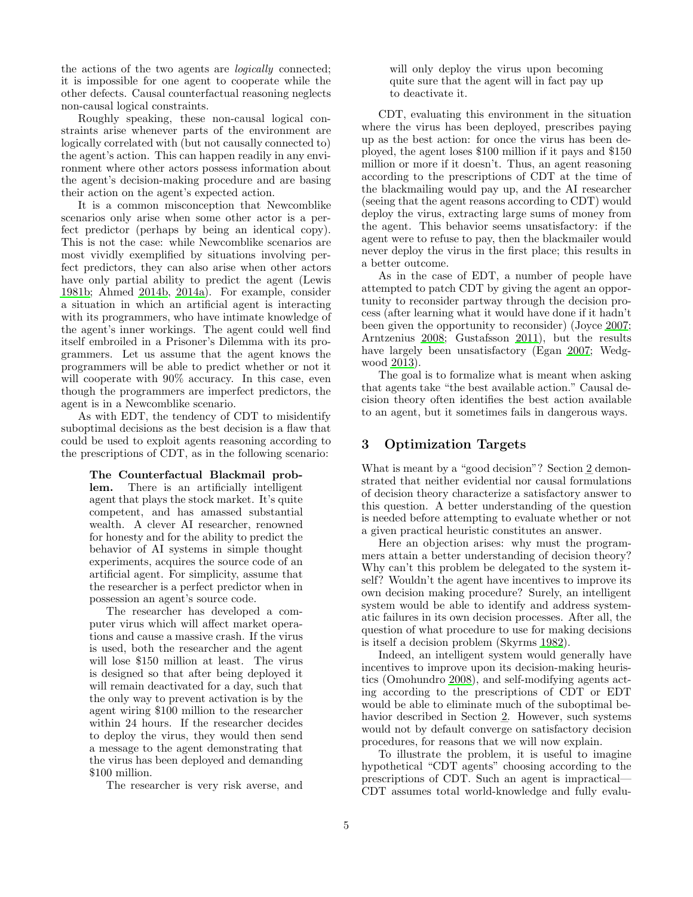the actions of the two agents are logically connected; it is impossible for one agent to cooperate while the other defects. Causal counterfactual reasoning neglects non-causal logical constraints.

Roughly speaking, these non-causal logical constraints arise whenever parts of the environment are logically correlated with (but not causally connected to) the agent's action. This can happen readily in any environment where other actors possess information about the agent's decision-making procedure and are basing their action on the agent's expected action.

It is a common misconception that Newcomblike scenarios only arise when some other actor is a perfect predictor (perhaps by being an identical copy). This is not the case: while Newcomblike scenarios are most vividly exemplified by situations involving perfect predictors, they can also arise when other actors have only partial ability to predict the agent (Lewis [1981b;](#page-13-19) Ahmed [2014b,](#page-12-10) [2014a\)](#page-12-11). For example, consider a situation in which an artificial agent is interacting with its programmers, who have intimate knowledge of the agent's inner workings. The agent could well find itself embroiled in a Prisoner's Dilemma with its programmers. Let us assume that the agent knows the programmers will be able to predict whether or not it will cooperate with  $90\%$  accuracy. In this case, even though the programmers are imperfect predictors, the agent is in a Newcomblike scenario.

As with EDT, the tendency of CDT to misidentify suboptimal decisions as the best decision is a flaw that could be used to exploit agents reasoning according to the prescriptions of CDT, as in the following scenario:

> The Counterfactual Blackmail problem. There is an artificially intelligent agent that plays the stock market. It's quite competent, and has amassed substantial wealth. A clever AI researcher, renowned for honesty and for the ability to predict the behavior of AI systems in simple thought experiments, acquires the source code of an artificial agent. For simplicity, assume that the researcher is a perfect predictor when in possession an agent's source code.

> The researcher has developed a computer virus which will affect market operations and cause a massive crash. If the virus is used, both the researcher and the agent will lose \$150 million at least. The virus is designed so that after being deployed it will remain deactivated for a day, such that the only way to prevent activation is by the agent wiring \$100 million to the researcher within 24 hours. If the researcher decides to deploy the virus, they would then send a message to the agent demonstrating that the virus has been deployed and demanding \$100 million.

The researcher is very risk averse, and

will only deploy the virus upon becoming quite sure that the agent will in fact pay up to deactivate it.

CDT, evaluating this environment in the situation where the virus has been deployed, prescribes paying up as the best action: for once the virus has been deployed, the agent loses \$100 million if it pays and \$150 million or more if it doesn't. Thus, an agent reasoning according to the prescriptions of CDT at the time of the blackmailing would pay up, and the AI researcher (seeing that the agent reasons according to CDT) would deploy the virus, extracting large sums of money from the agent. This behavior seems unsatisfactory: if the agent were to refuse to pay, then the blackmailer would never deploy the virus in the first place; this results in a better outcome.

As in the case of EDT, a number of people have attempted to patch CDT by giving the agent an opportunity to reconsider partway through the decision process (after learning what it would have done if it hadn't been given the opportunity to reconsider) (Joyce [2007](#page-13-10); Arntzenius [2008;](#page-12-3) Gustafsson [2011\)](#page-13-20), but the results have largely been unsatisfactory (Egan [2007;](#page-13-9) Wedgwood [2013\)](#page-14-4).

The goal is to formalize what is meant when asking that agents take "the best available action." Causal decision theory often identifies the best action available to an agent, but it sometimes fails in dangerous ways.

## <span id="page-4-0"></span>3 Optimization Targets

What is meant by a "good decision"? Section [2](#page-1-0) demonstrated that neither evidential nor causal formulations of decision theory characterize a satisfactory answer to this question. A better understanding of the question is needed before attempting to evaluate whether or not a given practical heuristic constitutes an answer.

Here an objection arises: why must the programmers attain a better understanding of decision theory? Why can't this problem be delegated to the system itself? Wouldn't the agent have incentives to improve its own decision making procedure? Surely, an intelligent system would be able to identify and address systematic failures in its own decision processes. After all, the question of what procedure to use for making decisions is itself a decision problem (Skyrms [1982\)](#page-13-21).

Indeed, an intelligent system would generally have incentives to improve upon its decision-making heuristics (Omohundro [2008\)](#page-13-22), and self-modifying agents acting according to the prescriptions of CDT or EDT would be able to eliminate much of the suboptimal behavior described in Section [2.](#page-1-0) However, such systems would not by default converge on satisfactory decision procedures, for reasons that we will now explain.

To illustrate the problem, it is useful to imagine hypothetical "CDT agents" choosing according to the prescriptions of CDT. Such an agent is impractical— CDT assumes total world-knowledge and fully evalu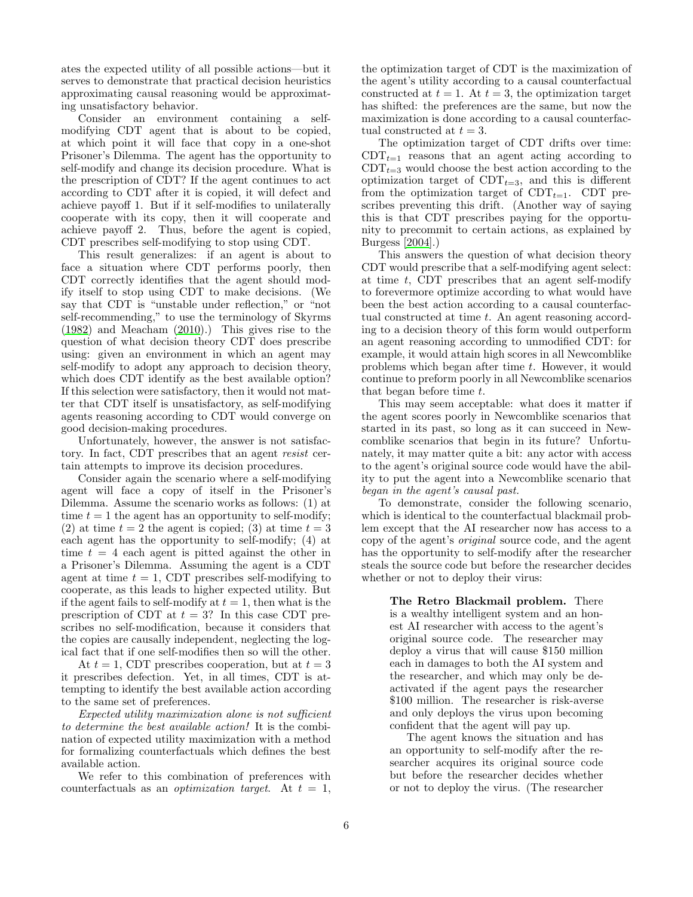ates the expected utility of all possible actions—but it serves to demonstrate that practical decision heuristics approximating causal reasoning would be approximating unsatisfactory behavior.

Consider an environment containing a selfmodifying CDT agent that is about to be copied, at which point it will face that copy in a one-shot Prisoner's Dilemma. The agent has the opportunity to self-modify and change its decision procedure. What is the prescription of CDT? If the agent continues to act according to CDT after it is copied, it will defect and achieve payoff 1. But if it self-modifies to unilaterally cooperate with its copy, then it will cooperate and achieve payoff 2. Thus, before the agent is copied, CDT prescribes self-modifying to stop using CDT.

This result generalizes: if an agent is about to face a situation where CDT performs poorly, then CDT correctly identifies that the agent should modify itself to stop using CDT to make decisions. (We say that CDT is "unstable under reflection," or "not self-recommending," to use the terminology of Skyrms [\(1982\)](#page-13-21) and Meacham [\(2010\)](#page-13-23).) This gives rise to the question of what decision theory CDT does prescribe using: given an environment in which an agent may self-modify to adopt any approach to decision theory, which does CDT identify as the best available option? If this selection were satisfactory, then it would not matter that CDT itself is unsatisfactory, as self-modifying agents reasoning according to CDT would converge on good decision-making procedures.

Unfortunately, however, the answer is not satisfactory. In fact, CDT prescribes that an agent resist certain attempts to improve its decision procedures.

Consider again the scenario where a self-modifying agent will face a copy of itself in the Prisoner's Dilemma. Assume the scenario works as follows: (1) at time  $t = 1$  the agent has an opportunity to self-modify; (2) at time  $t = 2$  the agent is copied; (3) at time  $t = 3$ each agent has the opportunity to self-modify; (4) at time  $t = 4$  each agent is pitted against the other in a Prisoner's Dilemma. Assuming the agent is a CDT agent at time  $t = 1$ , CDT prescribes self-modifying to cooperate, as this leads to higher expected utility. But if the agent fails to self-modify at  $t = 1$ , then what is the prescription of CDT at  $t = 3$ ? In this case CDT prescribes no self-modification, because it considers that the copies are causally independent, neglecting the logical fact that if one self-modifies then so will the other.

At  $t = 1$ , CDT prescribes cooperation, but at  $t = 3$ it prescribes defection. Yet, in all times, CDT is attempting to identify the best available action according to the same set of preferences.

Expected utility maximization alone is not sufficient to determine the best available action! It is the combination of expected utility maximization with a method for formalizing counterfactuals which defines the best available action.

We refer to this combination of preferences with counterfactuals as an *optimization target*. At  $t = 1$ ,

the optimization target of CDT is the maximization of the agent's utility according to a causal counterfactual constructed at  $t = 1$ . At  $t = 3$ , the optimization target has shifted: the preferences are the same, but now the maximization is done according to a causal counterfactual constructed at  $t = 3$ .

The optimization target of CDT drifts over time:  $CDT_{t=1}$  reasons that an agent acting according to  $CDT_{t=3}$  would choose the best action according to the optimization target of  $CDT_{t=3}$ , and this is different from the optimization target of  $CDT_{t=1}$ . CDT prescribes preventing this drift. (Another way of saying this is that CDT prescribes paying for the opportunity to precommit to certain actions, as explained by Burgess [\[2004\]](#page-12-12).)

This answers the question of what decision theory CDT would prescribe that a self-modifying agent select: at time  $t$ , CDT prescribes that an agent self-modify to forevermore optimize according to what would have been the best action according to a causal counterfactual constructed at time t. An agent reasoning according to a decision theory of this form would outperform an agent reasoning according to unmodified CDT: for example, it would attain high scores in all Newcomblike problems which began after time  $t$ . However, it would continue to preform poorly in all Newcomblike scenarios that began before time t.

This may seem acceptable: what does it matter if the agent scores poorly in Newcomblike scenarios that started in its past, so long as it can succeed in Newcomblike scenarios that begin in its future? Unfortunately, it may matter quite a bit: any actor with access to the agent's original source code would have the ability to put the agent into a Newcomblike scenario that began in the agent's causal past.

To demonstrate, consider the following scenario, which is identical to the counterfactual blackmail problem except that the AI researcher now has access to a copy of the agent's original source code, and the agent has the opportunity to self-modify after the researcher steals the source code but before the researcher decides whether or not to deploy their virus:

> The Retro Blackmail problem. There is a wealthy intelligent system and an honest AI researcher with access to the agent's original source code. The researcher may deploy a virus that will cause \$150 million each in damages to both the AI system and the researcher, and which may only be deactivated if the agent pays the researcher \$100 million. The researcher is risk-averse and only deploys the virus upon becoming confident that the agent will pay up.

> The agent knows the situation and has an opportunity to self-modify after the researcher acquires its original source code but before the researcher decides whether or not to deploy the virus. (The researcher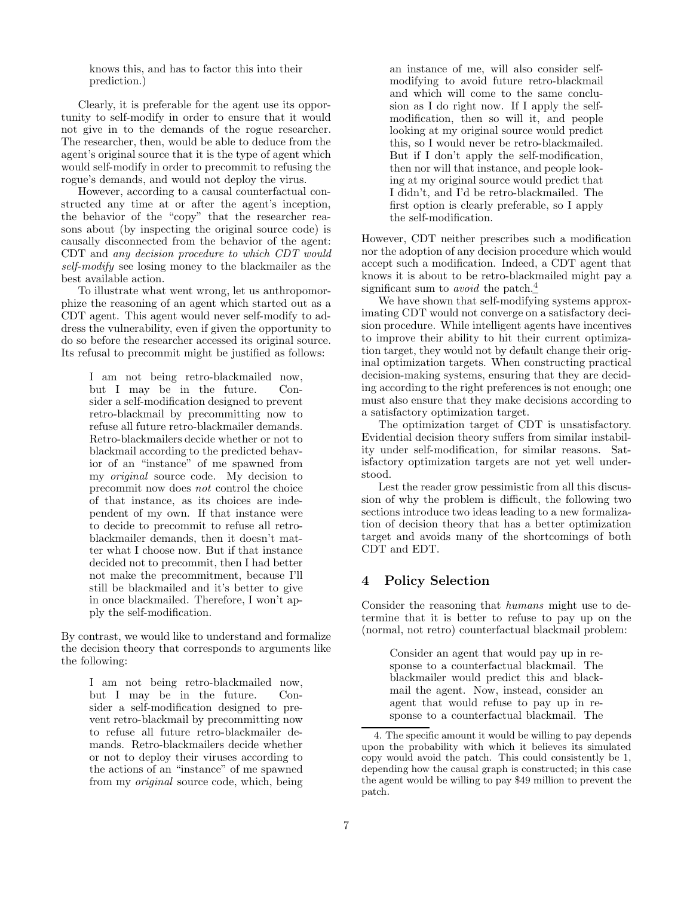knows this, and has to factor this into their prediction.)

Clearly, it is preferable for the agent use its opportunity to self-modify in order to ensure that it would not give in to the demands of the rogue researcher. The researcher, then, would be able to deduce from the agent's original source that it is the type of agent which would self-modify in order to precommit to refusing the rogue's demands, and would not deploy the virus.

However, according to a causal counterfactual constructed any time at or after the agent's inception, the behavior of the "copy" that the researcher reasons about (by inspecting the original source code) is causally disconnected from the behavior of the agent: CDT and any decision procedure to which CDT would self-modify see losing money to the blackmailer as the best available action.

To illustrate what went wrong, let us anthropomorphize the reasoning of an agent which started out as a CDT agent. This agent would never self-modify to address the vulnerability, even if given the opportunity to do so before the researcher accessed its original source. Its refusal to precommit might be justified as follows:

I am not being retro-blackmailed now, but I may be in the future. Consider a self-modification designed to prevent retro-blackmail by precommitting now to refuse all future retro-blackmailer demands. Retro-blackmailers decide whether or not to blackmail according to the predicted behavior of an "instance" of me spawned from my original source code. My decision to precommit now does not control the choice of that instance, as its choices are independent of my own. If that instance were to decide to precommit to refuse all retroblackmailer demands, then it doesn't matter what I choose now. But if that instance decided not to precommit, then I had better not make the precommitment, because I'll still be blackmailed and it's better to give in once blackmailed. Therefore, I won't apply the self-modification.

By contrast, we would like to understand and formalize the decision theory that corresponds to arguments like the following:

I am not being retro-blackmailed now, but I may be in the future. Consider a self-modification designed to prevent retro-blackmail by precommitting now to refuse all future retro-blackmailer demands. Retro-blackmailers decide whether or not to deploy their viruses according to the actions of an "instance" of me spawned from my original source code, which, being

an instance of me, will also consider selfmodifying to avoid future retro-blackmail and which will come to the same conclusion as I do right now. If I apply the selfmodification, then so will it, and people looking at my original source would predict this, so I would never be retro-blackmailed. But if I don't apply the self-modification, then nor will that instance, and people looking at my original source would predict that I didn't, and I'd be retro-blackmailed. The first option is clearly preferable, so I apply the self-modification.

However, CDT neither prescribes such a modification nor the adoption of any decision procedure which would accept such a modification. Indeed, a CDT agent that knows it is about to be retro-blackmailed might pay a significant sum to *avoid* the patch.<sup>[4](#page-6-1)</sup>

We have shown that self-modifying systems approximating CDT would not converge on a satisfactory decision procedure. While intelligent agents have incentives to improve their ability to hit their current optimization target, they would not by default change their original optimization targets. When constructing practical decision-making systems, ensuring that they are deciding according to the right preferences is not enough; one must also ensure that they make decisions according to a satisfactory optimization target.

The optimization target of CDT is unsatisfactory. Evidential decision theory suffers from similar instability under self-modification, for similar reasons. Satisfactory optimization targets are not yet well understood.

Lest the reader grow pessimistic from all this discussion of why the problem is difficult, the following two sections introduce two ideas leading to a new formalization of decision theory that has a better optimization target and avoids many of the shortcomings of both CDT and EDT.

# <span id="page-6-0"></span>4 Policy Selection

Consider the reasoning that humans might use to determine that it is better to refuse to pay up on the (normal, not retro) counterfactual blackmail problem:

> Consider an agent that would pay up in response to a counterfactual blackmail. The blackmailer would predict this and blackmail the agent. Now, instead, consider an agent that would refuse to pay up in response to a counterfactual blackmail. The

<span id="page-6-1"></span><sup>4.</sup> The specific amount it would be willing to pay depends upon the probability with which it believes its simulated copy would avoid the patch. This could consistently be 1, depending how the causal graph is constructed; in this case the agent would be willing to pay \$49 million to prevent the patch.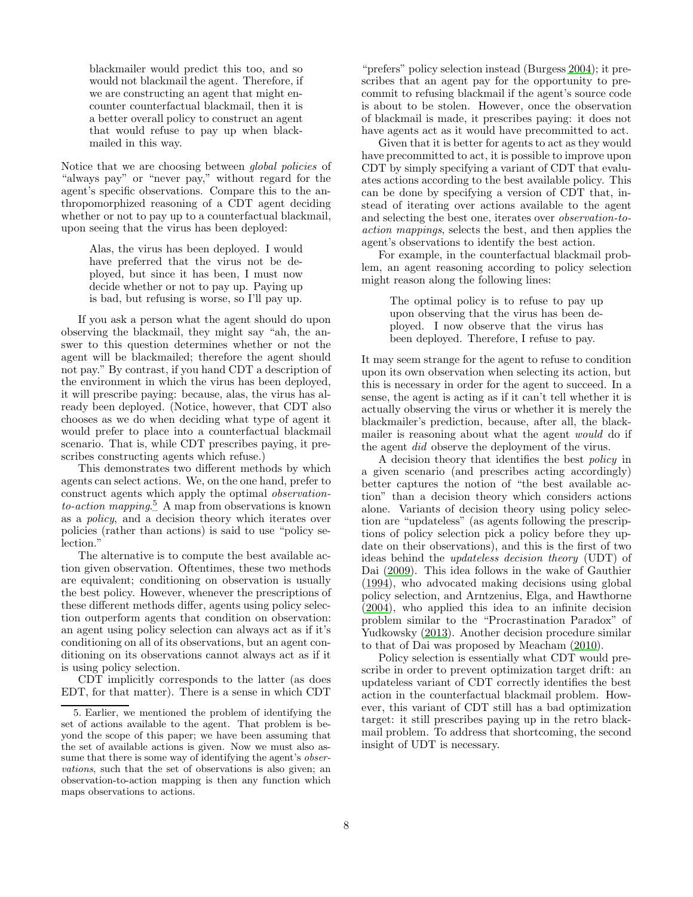blackmailer would predict this too, and so would not blackmail the agent. Therefore, if we are constructing an agent that might encounter counterfactual blackmail, then it is a better overall policy to construct an agent that would refuse to pay up when blackmailed in this way.

Notice that we are choosing between *global policies* of "always pay" or "never pay," without regard for the agent's specific observations. Compare this to the anthropomorphized reasoning of a CDT agent deciding whether or not to pay up to a counterfactual blackmail, upon seeing that the virus has been deployed:

> Alas, the virus has been deployed. I would have preferred that the virus not be deployed, but since it has been, I must now decide whether or not to pay up. Paying up is bad, but refusing is worse, so I'll pay up.

If you ask a person what the agent should do upon observing the blackmail, they might say "ah, the answer to this question determines whether or not the agent will be blackmailed; therefore the agent should not pay." By contrast, if you hand CDT a description of the environment in which the virus has been deployed, it will prescribe paying: because, alas, the virus has already been deployed. (Notice, however, that CDT also chooses as we do when deciding what type of agent it would prefer to place into a counterfactual blackmail scenario. That is, while CDT prescribes paying, it prescribes constructing agents which refuse.)

This demonstrates two different methods by which agents can select actions. We, on the one hand, prefer to construct agents which apply the optimal observation $to-action$  mapping.<sup>[5](#page-7-0)</sup> A map from observations is known as a policy, and a decision theory which iterates over policies (rather than actions) is said to use "policy selection."

The alternative is to compute the best available action given observation. Oftentimes, these two methods are equivalent; conditioning on observation is usually the best policy. However, whenever the prescriptions of these different methods differ, agents using policy selection outperform agents that condition on observation: an agent using policy selection can always act as if it's conditioning on all of its observations, but an agent conditioning on its observations cannot always act as if it is using policy selection.

CDT implicitly corresponds to the latter (as does EDT, for that matter). There is a sense in which CDT

"prefers" policy selection instead (Burgess [2004\)](#page-12-12); it prescribes that an agent pay for the opportunity to precommit to refusing blackmail if the agent's source code is about to be stolen. However, once the observation of blackmail is made, it prescribes paying: it does not have agents act as it would have precommitted to act.

Given that it is better for agents to act as they would have precommitted to act, it is possible to improve upon CDT by simply specifying a variant of CDT that evaluates actions according to the best available policy. This can be done by specifying a version of CDT that, instead of iterating over actions available to the agent and selecting the best one, iterates over observation-toaction mappings, selects the best, and then applies the agent's observations to identify the best action.

For example, in the counterfactual blackmail problem, an agent reasoning according to policy selection might reason along the following lines:

> The optimal policy is to refuse to pay up upon observing that the virus has been deployed. I now observe that the virus has been deployed. Therefore, I refuse to pay.

It may seem strange for the agent to refuse to condition upon its own observation when selecting its action, but this is necessary in order for the agent to succeed. In a sense, the agent is acting as if it can't tell whether it is actually observing the virus or whether it is merely the blackmailer's prediction, because, after all, the blackmailer is reasoning about what the agent would do if the agent did observe the deployment of the virus.

A decision theory that identifies the best policy in a given scenario (and prescribes acting accordingly) better captures the notion of "the best available action" than a decision theory which considers actions alone. Variants of decision theory using policy selection are "updateless" (as agents following the prescriptions of policy selection pick a policy before they update on their observations), and this is the first of two ideas behind the updateless decision theory (UDT) of Dai [\(2009\)](#page-12-13). This idea follows in the wake of Gauthier [\(1994\)](#page-13-24), who advocated making decisions using global policy selection, and Arntzenius, Elga, and Hawthorne [\(2004\)](#page-12-14), who applied this idea to an infinite decision problem similar to the "Procrastination Paradox" of Yudkowsky [\(2013\)](#page-14-5). Another decision procedure similar to that of Dai was proposed by Meacham [\(2010\)](#page-13-23).

Policy selection is essentially what CDT would prescribe in order to prevent optimization target drift: an updateless variant of CDT correctly identifies the best action in the counterfactual blackmail problem. However, this variant of CDT still has a bad optimization target: it still prescribes paying up in the retro blackmail problem. To address that shortcoming, the second insight of UDT is necessary.

<span id="page-7-0"></span><sup>5.</sup> Earlier, we mentioned the problem of identifying the set of actions available to the agent. That problem is beyond the scope of this paper; we have been assuming that the set of available actions is given. Now we must also assume that there is some way of identifying the agent's *obser*vations, such that the set of observations is also given; an observation-to-action mapping is then any function which maps observations to actions.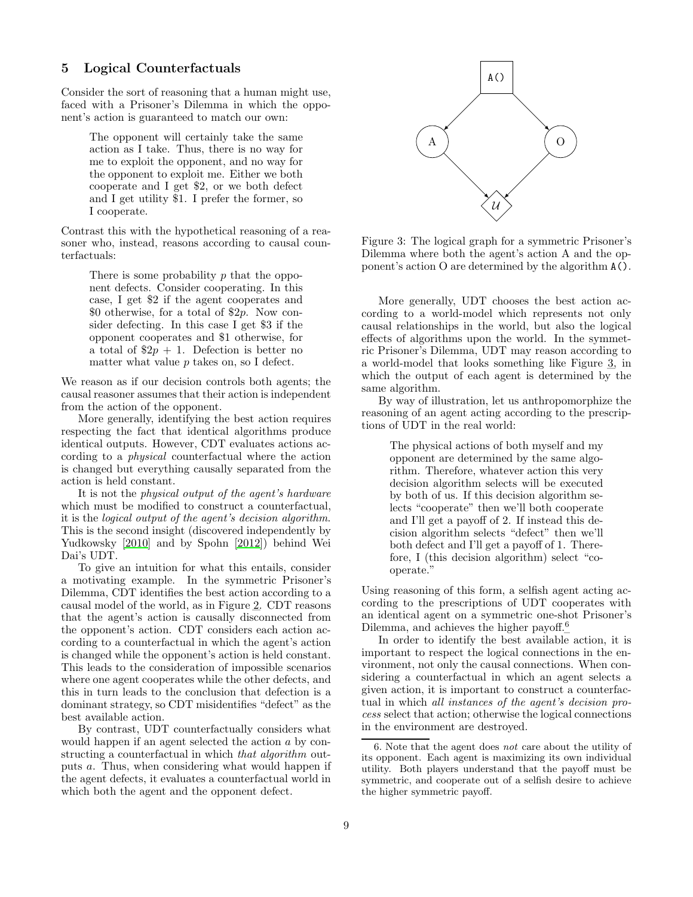# <span id="page-8-0"></span>5 Logical Counterfactuals

Consider the sort of reasoning that a human might use, faced with a Prisoner's Dilemma in which the opponent's action is guaranteed to match our own:

The opponent will certainly take the same action as I take. Thus, there is no way for me to exploit the opponent, and no way for the opponent to exploit me. Either we both cooperate and I get \$2, or we both defect and I get utility \$1. I prefer the former, so I cooperate.

Contrast this with the hypothetical reasoning of a reasoner who, instead, reasons according to causal counterfactuals:

There is some probability p that the opponent defects. Consider cooperating. In this case, I get \$2 if the agent cooperates and \$0 otherwise, for a total of \$2p. Now consider defecting. In this case I get \$3 if the opponent cooperates and \$1 otherwise, for a total of  $2p + 1$ . Defection is better no matter what value  $p$  takes on, so I defect.

We reason as if our decision controls both agents; the causal reasoner assumes that their action is independent from the action of the opponent.

More generally, identifying the best action requires respecting the fact that identical algorithms produce identical outputs. However, CDT evaluates actions according to a physical counterfactual where the action is changed but everything causally separated from the action is held constant.

It is not the *physical output of the agent's hardware* which must be modified to construct a counterfactual, it is the logical output of the agent's decision algorithm. This is the second insight (discovered independently by Yudkowsky [\[2010\]](#page-14-6) and by Spohn [\[2012\]](#page-13-25)) behind Wei Dai's UDT.

To give an intuition for what this entails, consider a motivating example. In the symmetric Prisoner's Dilemma, CDT identifies the best action according to a causal model of the world, as in Figure [2.](#page-3-2) CDT reasons that the agent's action is causally disconnected from the opponent's action. CDT considers each action according to a counterfactual in which the agent's action is changed while the opponent's action is held constant. This leads to the consideration of impossible scenarios where one agent cooperates while the other defects, and this in turn leads to the conclusion that defection is a dominant strategy, so CDT misidentifies "defect" as the best available action.

By contrast, UDT counterfactually considers what would happen if an agent selected the action a by constructing a counterfactual in which that algorithm outputs a. Thus, when considering what would happen if the agent defects, it evaluates a counterfactual world in which both the agent and the opponent defect.



<span id="page-8-1"></span>Figure 3: The logical graph for a symmetric Prisoner's Dilemma where both the agent's action A and the opponent's action O are determined by the algorithm A().

More generally, UDT chooses the best action according to a world-model which represents not only causal relationships in the world, but also the logical effects of algorithms upon the world. In the symmetric Prisoner's Dilemma, UDT may reason according to a world-model that looks something like Figure [3,](#page-8-1) in which the output of each agent is determined by the same algorithm.

By way of illustration, let us anthropomorphize the reasoning of an agent acting according to the prescriptions of UDT in the real world:

> The physical actions of both myself and my opponent are determined by the same algorithm. Therefore, whatever action this very decision algorithm selects will be executed by both of us. If this decision algorithm selects "cooperate" then we'll both cooperate and I'll get a payoff of 2. If instead this decision algorithm selects "defect" then we'll both defect and I'll get a payoff of 1. Therefore, I (this decision algorithm) select "cooperate."

Using reasoning of this form, a selfish agent acting according to the prescriptions of UDT cooperates with an identical agent on a symmetric one-shot Prisoner's Dilemma, and achieves the higher payoff.<sup>[6](#page-8-2)</sup>

In order to identify the best available action, it is important to respect the logical connections in the environment, not only the causal connections. When considering a counterfactual in which an agent selects a given action, it is important to construct a counterfactual in which all instances of the agent's decision process select that action; otherwise the logical connections in the environment are destroyed.

<span id="page-8-2"></span><sup>6.</sup> Note that the agent does not care about the utility of its opponent. Each agent is maximizing its own individual utility. Both players understand that the payoff must be symmetric, and cooperate out of a selfish desire to achieve the higher symmetric payoff.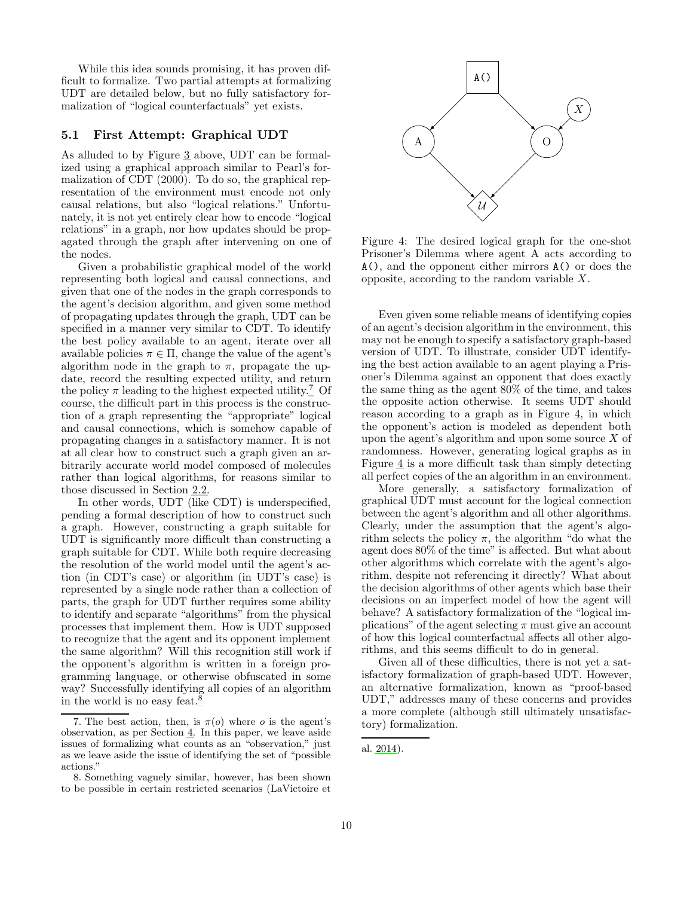While this idea sounds promising, it has proven difficult to formalize. Two partial attempts at formalizing UDT are detailed below, but no fully satisfactory formalization of "logical counterfactuals" yet exists.

### 5.1 First Attempt: Graphical UDT

As alluded to by Figure [3](#page-8-1) above, UDT can be formalized using a graphical approach similar to Pearl's formalization of CDT (2000). To do so, the graphical representation of the environment must encode not only causal relations, but also "logical relations." Unfortunately, it is not yet entirely clear how to encode "logical relations" in a graph, nor how updates should be propagated through the graph after intervening on one of the nodes.

Given a probabilistic graphical model of the world representing both logical and causal connections, and given that one of the nodes in the graph corresponds to the agent's decision algorithm, and given some method of propagating updates through the graph, UDT can be specified in a manner very similar to CDT. To identify the best policy available to an agent, iterate over all available policies  $\pi \in \Pi$ , change the value of the agent's algorithm node in the graph to  $\pi$ , propagate the update, record the resulting expected utility, and return the policy  $\pi$  leading to the highest expected utility.<sup>[7](#page-9-0)</sup> Of course, the difficult part in this process is the construction of a graph representing the "appropriate" logical and causal connections, which is somehow capable of propagating changes in a satisfactory manner. It is not at all clear how to construct such a graph given an arbitrarily accurate world model composed of molecules rather than logical algorithms, for reasons similar to those discussed in Section [2.2.](#page-2-1)

In other words, UDT (like CDT) is underspecified, pending a formal description of how to construct such a graph. However, constructing a graph suitable for UDT is significantly more difficult than constructing a graph suitable for CDT. While both require decreasing the resolution of the world model until the agent's action (in CDT's case) or algorithm (in UDT's case) is represented by a single node rather than a collection of parts, the graph for UDT further requires some ability to identify and separate "algorithms" from the physical processes that implement them. How is UDT supposed to recognize that the agent and its opponent implement the same algorithm? Will this recognition still work if the opponent's algorithm is written in a foreign programming language, or otherwise obfuscated in some way? Successfully identifying all copies of an algorithm in the world is no easy feat.<sup>[8](#page-9-1)</sup>



<span id="page-9-2"></span>Figure 4: The desired logical graph for the one-shot Prisoner's Dilemma where agent A acts according to A(), and the opponent either mirrors A() or does the opposite, according to the random variable X.

Even given some reliable means of identifying copies of an agent's decision algorithm in the environment, this may not be enough to specify a satisfactory graph-based version of UDT. To illustrate, consider UDT identifying the best action available to an agent playing a Prisoner's Dilemma against an opponent that does exactly the same thing as the agent 80% of the time, and takes the opposite action otherwise. It seems UDT should reason according to a graph as in Figure [4,](#page-9-2) in which the opponent's action is modeled as dependent both upon the agent's algorithm and upon some source  $X$  of randomness. However, generating logical graphs as in Figure [4](#page-9-2) is a more difficult task than simply detecting all perfect copies of the an algorithm in an environment.

More generally, a satisfactory formalization of graphical UDT must account for the logical connection between the agent's algorithm and all other algorithms. Clearly, under the assumption that the agent's algorithm selects the policy  $\pi$ , the algorithm "do what the agent does 80% of the time" is affected. But what about other algorithms which correlate with the agent's algorithm, despite not referencing it directly? What about the decision algorithms of other agents which base their decisions on an imperfect model of how the agent will behave? A satisfactory formalization of the "logical implications" of the agent selecting  $\pi$  must give an account of how this logical counterfactual affects all other algorithms, and this seems difficult to do in general.

Given all of these difficulties, there is not yet a satisfactory formalization of graph-based UDT. However, an alternative formalization, known as "proof-based UDT," addresses many of these concerns and provides a more complete (although still ultimately unsatisfactory) formalization.

<span id="page-9-0"></span><sup>7.</sup> The best action, then, is  $\pi(o)$  where o is the agent's observation, as per Section [4.](#page-6-0) In this paper, we leave aside issues of formalizing what counts as an "observation," just as we leave aside the issue of identifying the set of "possible actions."

<span id="page-9-1"></span><sup>8.</sup> Something vaguely similar, however, has been shown to be possible in certain restricted scenarios (LaVictoire et

al. [2014\)](#page-13-26).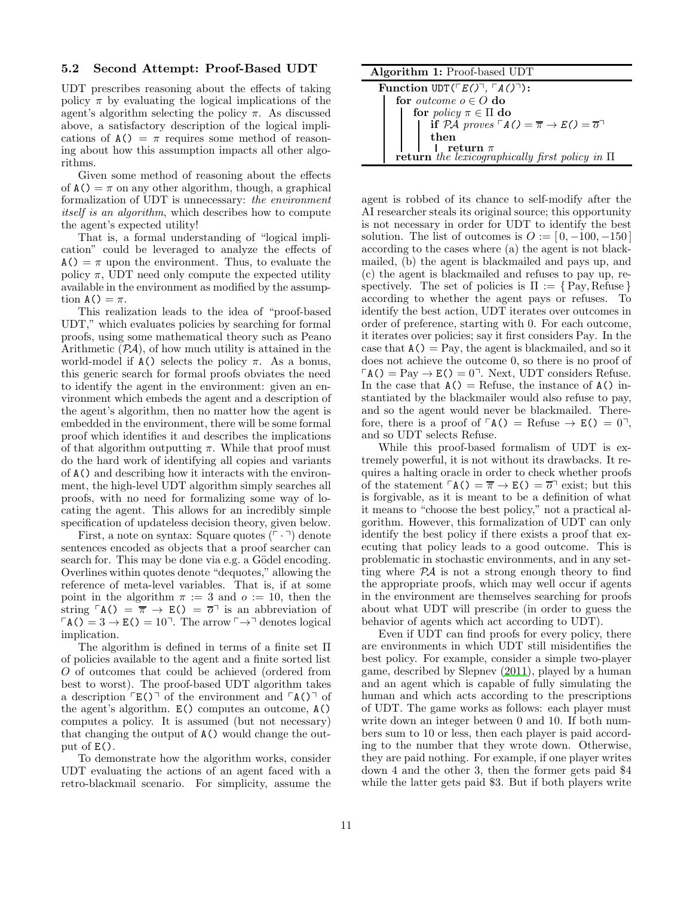#### 5.2 Second Attempt: Proof-Based UDT

UDT prescribes reasoning about the effects of taking policy  $\pi$  by evaluating the logical implications of the agent's algorithm selecting the policy  $\pi$ . As discussed above, a satisfactory description of the logical implications of  $A() = \pi$  requires some method of reasoning about how this assumption impacts all other algorithms.

Given some method of reasoning about the effects of  $A() = \pi$  on any other algorithm, though, a graphical formalization of UDT is unnecessary: the environment itself is an algorithm, which describes how to compute the agent's expected utility!

That is, a formal understanding of "logical implication" could be leveraged to analyze the effects of  $A() = \pi$  upon the environment. Thus, to evaluate the policy  $\pi$ , UDT need only compute the expected utility available in the environment as modified by the assumption  $A() = \pi$ .

This realization leads to the idea of "proof-based UDT," which evaluates policies by searching for formal proofs, using some mathematical theory such as Peano Arithmetic  $(\mathcal{P}A)$ , of how much utility is attained in the world-model if  $A()$  selects the policy  $\pi$ . As a bonus, this generic search for formal proofs obviates the need to identify the agent in the environment: given an environment which embeds the agent and a description of the agent's algorithm, then no matter how the agent is embedded in the environment, there will be some formal proof which identifies it and describes the implications of that algorithm outputting  $\pi$ . While that proof must do the hard work of identifying all copies and variants of A() and describing how it interacts with the environment, the high-level UDT algorithm simply searches all proofs, with no need for formalizing some way of locating the agent. This allows for an incredibly simple specification of updateless decision theory, given below.

First, a note on syntax: Square quotes  $(\ulcorner \cdot \urcorner)$  denote sentences encoded as objects that a proof searcher can search for. This may be done via e.g. a Gödel encoding. Overlines within quotes denote "dequotes," allowing the reference of meta-level variables. That is, if at some point in the algorithm  $\pi := 3$  and  $o := 10$ , then the string  $\lceil A(\rceil) = \overline{\pi} \rightarrow E(\rceil) = \overline{\sigma}$  is an abbreviation of  $\Gamma(A() = 3 \rightarrow E() = 10$ <sup>-</sup>. The arrow  $\Gamma \rightarrow$ <sup>-</sup> denotes logical implication.

The algorithm is defined in terms of a finite set Π of policies available to the agent and a finite sorted list O of outcomes that could be achieved (ordered from best to worst). The proof-based UDT algorithm takes a description  $\ulcorner E() \urcorner$  of the environment and  $\ulcorner A() \urcorner$  of the agent's algorithm. E() computes an outcome, A() computes a policy. It is assumed (but not necessary) that changing the output of A() would change the output of  $E()$ .

To demonstrate how the algorithm works, consider UDT evaluating the actions of an agent faced with a retro-blackmail scenario. For simplicity, assume the

Algorithm 1: Proof-based UDT

| Function $UDT(\Gamma E(\Gamma), \Gamma A(\Gamma)^{\dagger})$ :                                     |  |  |
|----------------------------------------------------------------------------------------------------|--|--|
| for <i>outcome</i> $o \in O$ do                                                                    |  |  |
| for <i>policy</i> $\pi \in \Pi$ do                                                                 |  |  |
| if $P\mathcal{A}$ proves $\ulcorner A() = \overline{\pi} \rightarrow E() = \overline{o} \urcorner$ |  |  |
| then                                                                                               |  |  |
| return $\pi$                                                                                       |  |  |
| <b>return</b> the lexicographically first policy in $\Pi$                                          |  |  |

agent is robbed of its chance to self-modify after the AI researcher steals its original source; this opportunity is not necessary in order for UDT to identify the best solution. The list of outcomes is  $O := [0, -100, -150]$ according to the cases where (a) the agent is not blackmailed, (b) the agent is blackmailed and pays up, and (c) the agent is blackmailed and refuses to pay up, respectively. The set of policies is  $\Pi := \{ Pay, Refuse \}$ according to whether the agent pays or refuses. To identify the best action, UDT iterates over outcomes in order of preference, starting with 0. For each outcome, it iterates over policies; say it first considers Pay. In the case that  $A() = Pay$ , the agent is blackmailed, and so it does not achieve the outcome 0, so there is no proof of  $\Gamma$ A() = Pay  $\rightarrow$  E() = 0<sup>-</sup>. Next, UDT considers Refuse. In the case that  $A()$  = Refuse, the instance of  $A()$  instantiated by the blackmailer would also refuse to pay, and so the agent would never be blackmailed. Therefore, there is a proof of  $\lceil A(\rceil) = \text{Refuse} \rightarrow E(\rceil) = 0,$ and so UDT selects Refuse.

While this proof-based formalism of UDT is extremely powerful, it is not without its drawbacks. It requires a halting oracle in order to check whether proofs of the statement  $\ulcorner A() = \overline{\pi} \rightarrow E() = \overline{\sigma} \urcorner$  exist; but this is forgivable, as it is meant to be a definition of what it means to "choose the best policy," not a practical algorithm. However, this formalization of UDT can only identify the best policy if there exists a proof that executing that policy leads to a good outcome. This is problematic in stochastic environments, and in any setting where  $\mathcal{P} A$  is not a strong enough theory to find the appropriate proofs, which may well occur if agents in the environment are themselves searching for proofs about what UDT will prescribe (in order to guess the behavior of agents which act according to UDT).

Even if UDT can find proofs for every policy, there are environments in which UDT still misidentifies the best policy. For example, consider a simple two-player game, described by Slepnev [\(2011\)](#page-13-27), played by a human and an agent which is capable of fully simulating the human and which acts according to the prescriptions of UDT. The game works as follows: each player must write down an integer between 0 and 10. If both numbers sum to 10 or less, then each player is paid according to the number that they wrote down. Otherwise, they are paid nothing. For example, if one player writes down 4 and the other 3, then the former gets paid \$4 while the latter gets paid \$3. But if both players write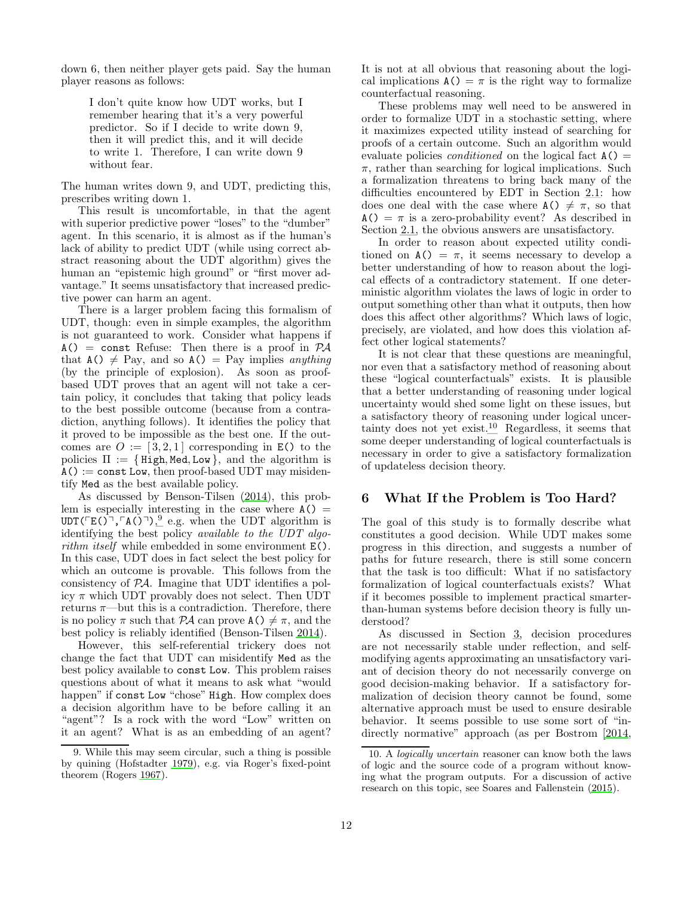down 6, then neither player gets paid. Say the human player reasons as follows:

> I don't quite know how UDT works, but I remember hearing that it's a very powerful predictor. So if I decide to write down 9, then it will predict this, and it will decide to write 1. Therefore, I can write down 9 without fear.

The human writes down 9, and UDT, predicting this, prescribes writing down 1.

This result is uncomfortable, in that the agent with superior predictive power "loses" to the "dumber" agent. In this scenario, it is almost as if the human's lack of ability to predict UDT (while using correct abstract reasoning about the UDT algorithm) gives the human an "epistemic high ground" or "first mover advantage." It seems unsatisfactory that increased predictive power can harm an agent.

There is a larger problem facing this formalism of UDT, though: even in simple examples, the algorithm is not guaranteed to work. Consider what happens if  $A() = \text{const}$  Refuse: Then there is a proof in  $PA$ that  $A() \neq Pay$ , and so  $A() = Pay$  implies anything (by the principle of explosion). As soon as proofbased UDT proves that an agent will not take a certain policy, it concludes that taking that policy leads to the best possible outcome (because from a contradiction, anything follows). It identifies the policy that it proved to be impossible as the best one. If the outcomes are  $O := [3, 2, 1]$  corresponding in E() to the policies  $\Pi := \{ High, Med, Low \}$ , and the algorithm is  $A() := \text{const}$  Low, then proof-based UDT may misidentify Med as the best available policy.

As discussed by Benson-Tilsen [\(2014](#page-12-15)), this problem is especially interesting in the case where  $A() =$  $UDT(\ulcorner E(\r{})^{\neg}, \ulcorner A(\r{})^{\neg})\urcorner, \ldegree e.g.$  when the UDT algorithm is identifying the best policy available to the UDT algorithm itself while embedded in some environment  $E()$ . In this case, UDT does in fact select the best policy for which an outcome is provable. This follows from the consistency of PA. Imagine that UDT identifies a policy  $\pi$  which UDT provably does not select. Then UDT returns  $\pi$ —but this is a contradiction. Therefore, there is no policy  $\pi$  such that PA can prove  $A() \neq \pi$ , and the best policy is reliably identified (Benson-Tilsen [2014\)](#page-12-15).

However, this self-referential trickery does not change the fact that UDT can misidentify Med as the best policy available to const Low. This problem raises questions about of what it means to ask what "would happen" if const Low "chose" High. How complex does a decision algorithm have to be before calling it an "agent"? Is a rock with the word "Low" written on it an agent? What is as an embedding of an agent? It is not at all obvious that reasoning about the logical implications  $A() = \pi$  is the right way to formalize counterfactual reasoning.

These problems may well need to be answered in order to formalize UDT in a stochastic setting, where it maximizes expected utility instead of searching for proofs of a certain outcome. Such an algorithm would evaluate policies *conditioned* on the logical fact  $A() =$  $\pi$ , rather than searching for logical implications. Such a formalization threatens to bring back many of the difficulties encountered by EDT in Section [2.1:](#page-1-1) how does one deal with the case where  $A() \neq \pi$ , so that  $A() = \pi$  is a zero-probability event? As described in Section [2.1,](#page-1-1) the obvious answers are unsatisfactory.

In order to reason about expected utility conditioned on  $A() = \pi$ , it seems necessary to develop a better understanding of how to reason about the logical effects of a contradictory statement. If one deterministic algorithm violates the laws of logic in order to output something other than what it outputs, then how does this affect other algorithms? Which laws of logic, precisely, are violated, and how does this violation affect other logical statements?

It is not clear that these questions are meaningful, nor even that a satisfactory method of reasoning about these "logical counterfactuals" exists. It is plausible that a better understanding of reasoning under logical uncertainty would shed some light on these issues, but a satisfactory theory of reasoning under logical uncer-tainty does not yet exist.<sup>[10](#page-11-2)</sup> Regardless, it seems that some deeper understanding of logical counterfactuals is necessary in order to give a satisfactory formalization of updateless decision theory.

### <span id="page-11-0"></span>6 What If the Problem is Too Hard?

The goal of this study is to formally describe what constitutes a good decision. While UDT makes some progress in this direction, and suggests a number of paths for future research, there is still some concern that the task is too difficult: What if no satisfactory formalization of logical counterfactuals exists? What if it becomes possible to implement practical smarterthan-human systems before decision theory is fully understood?

As discussed in Section [3,](#page-4-0) decision procedures are not necessarily stable under reflection, and selfmodifying agents approximating an unsatisfactory variant of decision theory do not necessarily converge on good decision-making behavior. If a satisfactory formalization of decision theory cannot be found, some alternative approach must be used to ensure desirable behavior. It seems possible to use some sort of "indirectly normative" approach (as per Bostrom [\[2014](#page-12-0),

<span id="page-11-1"></span><sup>9.</sup> While this may seem circular, such a thing is possible by quining (Hofstadter [1979](#page-13-28)), e.g. via Roger's fixed-point theorem (Rogers [1967](#page-13-29)).

<span id="page-11-2"></span><sup>10.</sup> A logically uncertain reasoner can know both the laws of logic and the source code of a program without knowing what the program outputs. For a discussion of active research on this topic, see Soares and Fallenstein [\(2015](#page-13-30)).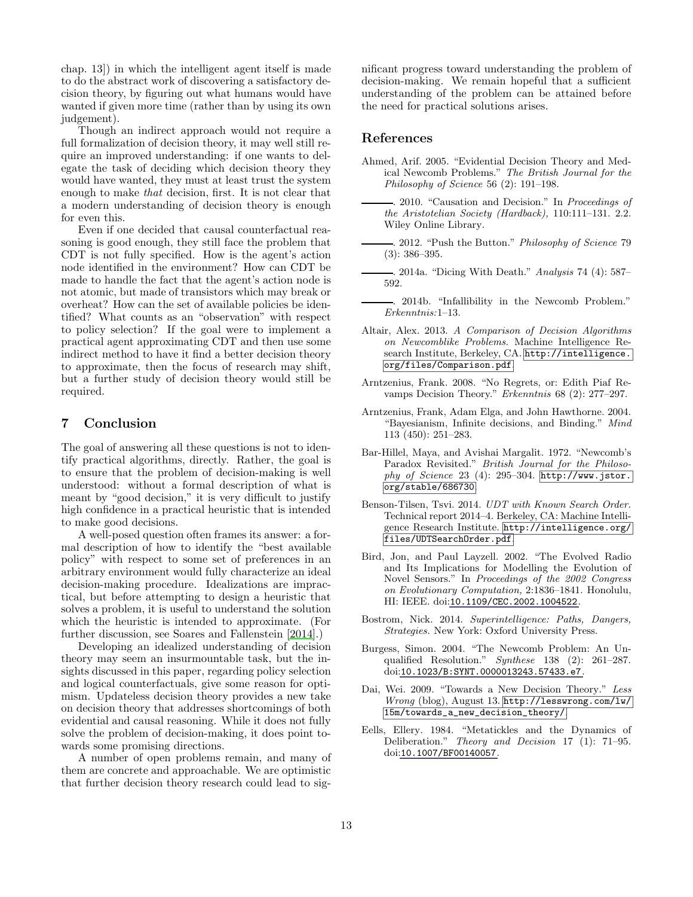chap. 13]) in which the intelligent agent itself is made to do the abstract work of discovering a satisfactory decision theory, by figuring out what humans would have wanted if given more time (rather than by using its own judgement).

Though an indirect approach would not require a full formalization of decision theory, it may well still require an improved understanding: if one wants to delegate the task of deciding which decision theory they would have wanted, they must at least trust the system enough to make that decision, first. It is not clear that a modern understanding of decision theory is enough for even this.

Even if one decided that causal counterfactual reasoning is good enough, they still face the problem that CDT is not fully specified. How is the agent's action node identified in the environment? How can CDT be made to handle the fact that the agent's action node is not atomic, but made of transistors which may break or overheat? How can the set of available policies be identified? What counts as an "observation" with respect to policy selection? If the goal were to implement a practical agent approximating CDT and then use some indirect method to have it find a better decision theory to approximate, then the focus of research may shift, but a further study of decision theory would still be required.

# <span id="page-12-2"></span>7 Conclusion

The goal of answering all these questions is not to identify practical algorithms, directly. Rather, the goal is to ensure that the problem of decision-making is well understood: without a formal description of what is meant by "good decision," it is very difficult to justify high confidence in a practical heuristic that is intended to make good decisions.

A well-posed question often frames its answer: a formal description of how to identify the "best available policy" with respect to some set of preferences in an arbitrary environment would fully characterize an ideal decision-making procedure. Idealizations are impractical, but before attempting to design a heuristic that solves a problem, it is useful to understand the solution which the heuristic is intended to approximate. (For further discussion, see Soares and Fallenstein [\[2014](#page-13-31)].)

Developing an idealized understanding of decision theory may seem an insurmountable task, but the insights discussed in this paper, regarding policy selection and logical counterfactuals, give some reason for optimism. Updateless decision theory provides a new take on decision theory that addresses shortcomings of both evidential and causal reasoning. While it does not fully solve the problem of decision-making, it does point towards some promising directions.

A number of open problems remain, and many of them are concrete and approachable. We are optimistic that further decision theory research could lead to significant progress toward understanding the problem of decision-making. We remain hopeful that a sufficient understanding of the problem can be attained before the need for practical solutions arises.

## <span id="page-12-5"></span>References

- <span id="page-12-6"></span>Ahmed, Arif. 2005. "Evidential Decision Theory and Medical Newcomb Problems." The British Journal for the Philosophy of Science 56 (2): 191–198.
	- . 2010. "Causation and Decision." In Proceedings of the Aristotelian Society (Hardback), 110:111–131. 2.2. Wiley Online Library.
- <span id="page-12-7"></span>. 2012. "Push the Button." Philosophy of Science 79 (3): 386–395.
- <span id="page-12-11"></span>. 2014a. "Dicing With Death." Analysis 74 (4): 587– 592.
- <span id="page-12-10"></span>. 2014b. "Infallibility in the Newcomb Problem." Erkenntnis:1–13.
- <span id="page-12-9"></span>Altair, Alex. 2013. A Comparison of Decision Algorithms on Newcomblike Problems. Machine Intelligence Research Institute, Berkeley, CA. [http://intelligence.](http://intelligence.org/files/Comparison.pdf) [org/files/Comparison.pdf](http://intelligence.org/files/Comparison.pdf).
- <span id="page-12-3"></span>Arntzenius, Frank. 2008. "No Regrets, or: Edith Piaf Revamps Decision Theory." Erkenntnis 68 (2): 277–297.
- <span id="page-12-14"></span>Arntzenius, Frank, Adam Elga, and John Hawthorne. 2004. "Bayesianism, Infinite decisions, and Binding." Mind 113 (450): 251–283.
- <span id="page-12-8"></span>Bar-Hillel, Maya, and Avishai Margalit. 1972. "Newcomb's Paradox Revisited." British Journal for the Philosophy of Science 23 (4): 295–304. [http://www.jstor.](http://www.jstor.org/stable/686730) [org/stable/686730](http://www.jstor.org/stable/686730).
- <span id="page-12-15"></span>Benson-Tilsen, Tsvi. 2014. UDT with Known Search Order. Technical report 2014–4. Berkeley, CA: Machine Intelligence Research Institute. [http://intelligence.org/](http://intelligence.org/files/UDTSearchOrder.pdf) [files/UDTSearchOrder.pdf](http://intelligence.org/files/UDTSearchOrder.pdf).
- <span id="page-12-1"></span>Bird, Jon, and Paul Layzell. 2002. "The Evolved Radio and Its Implications for Modelling the Evolution of Novel Sensors." In Proceedings of the 2002 Congress on Evolutionary Computation, 2:1836–1841. Honolulu, HI: IEEE. doi:[10.1109/CEC.2002.1004522](http://dx.doi.org/10.1109/CEC.2002.1004522).
- <span id="page-12-0"></span>Bostrom, Nick. 2014. Superintelligence: Paths, Dangers, Strategies. New York: Oxford University Press.
- <span id="page-12-12"></span>Burgess, Simon. 2004. "The Newcomb Problem: An Unqualified Resolution." Synthese 138 (2): 261–287. doi:[10.1023/B:SYNT.0000013243.57433.e7](http://dx.doi.org/10.1023/B:SYNT.0000013243.57433.e7).
- <span id="page-12-13"></span>Dai, Wei. 2009. "Towards a New Decision Theory." Less Wrong (blog), August 13. [http://lesswrong.com/lw/](http://lesswrong.com/lw/15m/towards_a_new_decision_theory/) [15m/towards\\_a\\_new\\_decision\\_theory/](http://lesswrong.com/lw/15m/towards_a_new_decision_theory/).
- <span id="page-12-4"></span>Eells, Ellery. 1984. "Metatickles and the Dynamics of Deliberation." Theory and Decision 17 (1): 71–95. doi:[10.1007/BF00140057](http://dx.doi.org/10.1007/BF00140057).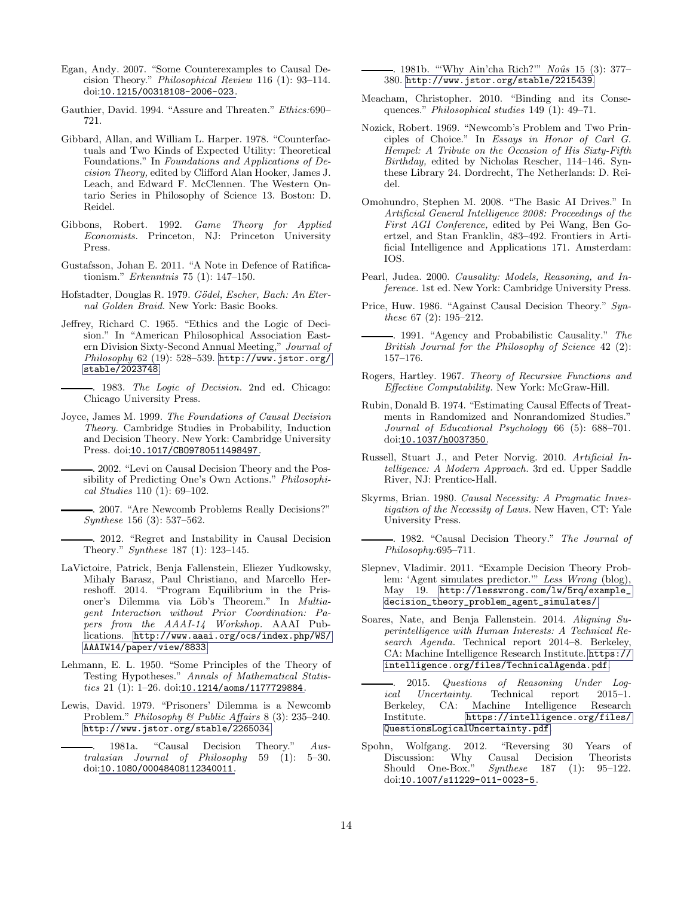- <span id="page-13-9"></span>Egan, Andy. 2007. "Some Counterexamples to Causal Decision Theory." Philosophical Review 116 (1): 93–114. doi:[10.1215/00318108-2006-023](http://dx.doi.org/10.1215/00318108-2006-023).
- <span id="page-13-24"></span>Gauthier, David. 1994. "Assure and Threaten." Ethics:690– 721.
- <span id="page-13-17"></span>Gibbard, Allan, and William L. Harper. 1978. "Counterfactuals and Two Kinds of Expected Utility: Theoretical Foundations." In Foundations and Applications of Decision Theory, edited by Clifford Alan Hooker, James J. Leach, and Edward F. McClennen. The Western Ontario Series in Philosophy of Science 13. Boston: D. Reidel.
- <span id="page-13-13"></span>Gibbons, Robert. 1992. Game Theory for Applied Economists. Princeton, NJ: Princeton University Press.
- <span id="page-13-20"></span>Gustafsson, Johan E. 2011. "A Note in Defence of Ratificationism." Erkenntnis 75 (1): 147–150.
- <span id="page-13-28"></span>Hofstadter, Douglas R. 1979. Gödel, Escher, Bach: An Eternal Golden Braid. New York: Basic Books.
- <span id="page-13-1"></span>Jeffrey, Richard C. 1965. "Ethics and the Logic of Decision." In "American Philosophical Association Eastern Division Sixty-Second Annual Meeting," Journal of Philosophy 62 (19): 528–539. [http://www.jstor.org/](http://www.jstor.org/stable/2023748) [stable/2023748](http://www.jstor.org/stable/2023748).
	- . 1983. The Logic of Decision. 2nd ed. Chicago: Chicago University Press.
- <span id="page-13-18"></span><span id="page-13-5"></span><span id="page-13-3"></span>Joyce, James M. 1999. The Foundations of Causal Decision Theory. Cambridge Studies in Probability, Induction and Decision Theory. New York: Cambridge University Press. doi:[10.1017/CBO9780511498497](http://dx.doi.org/10.1017/CBO9780511498497).
	- . 2002. "Levi on Causal Decision Theory and the Possibility of Predicting One's Own Actions." Philosophical Studies 110 (1): 69–102.
	- . 2007. "Are Newcomb Problems Really Decisions?" Synthese 156 (3): 537–562.
	- . 2012. "Regret and Instability in Causal Decision Theory." Synthese 187 (1): 123–145.
- <span id="page-13-26"></span><span id="page-13-11"></span><span id="page-13-10"></span>LaVictoire, Patrick, Benja Fallenstein, Eliezer Yudkowsky, Mihaly Barasz, Paul Christiano, and Marcello Herreshoff. 2014. "Program Equilibrium in the Prisoner's Dilemma via Löb's Theorem." In Multiagent Interaction without Prior Coordination: Papers from the AAAI-14 Workshop. AAAI Publications. [http://www.aaai.org/ocs/index.php/WS/](http://www.aaai.org/ocs/index.php/WS/AAAIW14/paper/view/8833) [AAAIW14/paper/view/8833](http://www.aaai.org/ocs/index.php/WS/AAAIW14/paper/view/8833).
- <span id="page-13-0"></span>Lehmann, E. L. 1950. "Some Principles of the Theory of Testing Hypotheses." Annals of Mathematical Statistics 21 (1): 1–26. doi:[10.1214/aoms/1177729884](http://dx.doi.org/10.1214/aoms/1177729884).
- <span id="page-13-16"></span><span id="page-13-2"></span>Lewis, David. 1979. "Prisoners' Dilemma is a Newcomb Problem." Philosophy & Public Affairs 8 (3): 235–240. <http://www.jstor.org/stable/2265034>.
	- . 1981a. "Causal Decision Theory." Australasian Journal of Philosophy 59 (1): 5–30. doi:[10.1080/00048408112340011](http://dx.doi.org/10.1080/00048408112340011).

<span id="page-13-19"></span>. 1981b. "'Why Ain'cha Rich?"" Noûs 15 (3): 377-380. <http://www.jstor.org/stable/2215439>.

- <span id="page-13-23"></span>Meacham, Christopher. 2010. "Binding and its Consequences." Philosophical studies 149 (1): 49–71.
- <span id="page-13-15"></span>Nozick, Robert. 1969. "Newcomb's Problem and Two Principles of Choice." In Essays in Honor of Carl G. Hempel: A Tribute on the Occasion of His Sixty-Fifth Birthday, edited by Nicholas Rescher, 114–146. Synthese Library 24. Dordrecht, The Netherlands: D. Reidel.
- <span id="page-13-22"></span>Omohundro, Stephen M. 2008. "The Basic AI Drives." In Artificial General Intelligence 2008: Proceedings of the First AGI Conference, edited by Pei Wang, Ben Goertzel, and Stan Franklin, 483–492. Frontiers in Artificial Intelligence and Applications 171. Amsterdam: IOS.
- <span id="page-13-4"></span>Pearl, Judea. 2000. Causality: Models, Reasoning, and Inference. 1st ed. New York: Cambridge University Press.
- <span id="page-13-7"></span>Price, Huw. 1986. "Against Causal Decision Theory." Synthese 67 (2): 195–212.
- <span id="page-13-8"></span>. 1991. "Agency and Probabilistic Causality." The British Journal for the Philosophy of Science 42 (2): 157–176.
- <span id="page-13-29"></span>Rogers, Hartley. 1967. Theory of Recursive Functions and Effective Computability. New York: McGraw-Hill.
- <span id="page-13-12"></span>Rubin, Donald B. 1974. "Estimating Causal Effects of Treatments in Randomized and Nonrandomized Studies." Journal of Educational Psychology 66 (5): 688–701. doi:[10.1037/h0037350](http://dx.doi.org/10.1037/h0037350).
- <span id="page-13-14"></span>Russell, Stuart J., and Peter Norvig. 2010. Artificial Intelligence: A Modern Approach. 3rd ed. Upper Saddle River, NJ: Prentice-Hall.
- <span id="page-13-6"></span>Skyrms, Brian. 1980. Causal Necessity: A Pragmatic Investigation of the Necessity of Laws. New Haven, CT: Yale University Press.
- <span id="page-13-21"></span>. 1982. "Causal Decision Theory." The Journal of Philosophy:695–711.
- <span id="page-13-27"></span>Slepnev, Vladimir. 2011. "Example Decision Theory Problem: 'Agent simulates predictor.'" Less Wrong (blog), May 19. [http://lesswrong.com/lw/5rq/example\\_](http://lesswrong.com/lw/5rq/example_decision_theory_problem_agent_simulates/) [decision\\_theory\\_problem\\_agent\\_simulates/](http://lesswrong.com/lw/5rq/example_decision_theory_problem_agent_simulates/).
- <span id="page-13-31"></span>Soares, Nate, and Benja Fallenstein. 2014. Aligning Superintelligence with Human Interests: A Technical Research Agenda. Technical report 2014–8. Berkeley, CA: Machine Intelligence Research Institute. [https://](https://intelligence.org/files/TechnicalAgenda.pdf) [intelligence.org/files/TechnicalAgenda.pdf](https://intelligence.org/files/TechnicalAgenda.pdf).
- <span id="page-13-30"></span>. 2015. Questions of Reasoning Under Logical Uncertainty. Technical report 2015–1.<br>Berkeley, CA: Machine Intelligence Research Berkeley, CA: Machine Intelligence Research Institute. [https://intelligence.org/files/](https://intelligence.org/files/QuestionsLogicalUncertainty.pdf) [QuestionsLogicalUncertainty.pdf](https://intelligence.org/files/QuestionsLogicalUncertainty.pdf).
- <span id="page-13-25"></span>Spohn, Wolfgang. 2012. "Reversing 30 Years of Discussion: Why Causal Decision Theorists<br>Should One-Box." Synthese 187 (1): 95-122.  $Synthese$  187 (1): 95–122. doi:[10.1007/s11229-011-0023-5](http://dx.doi.org/10.1007/s11229-011-0023-5).